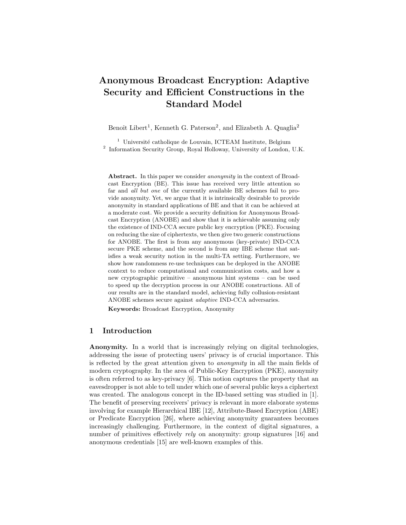# Anonymous Broadcast Encryption: Adaptive Security and Efficient Constructions in the Standard Model

Benoît Libert<sup>1</sup>, Kenneth G. Paterson<sup>2</sup>, and Elizabeth A. Quaglia<sup>2</sup>

 $1$  Université catholique de Louvain, ICTEAM Institute, Belgium <sup>2</sup> Information Security Group, Royal Holloway, University of London, U.K.

Abstract. In this paper we consider *anonymity* in the context of Broadcast Encryption (BE). This issue has received very little attention so far and all but one of the currently available BE schemes fail to provide anonymity. Yet, we argue that it is intrinsically desirable to provide anonymity in standard applications of BE and that it can be achieved at a moderate cost. We provide a security definition for Anonymous Broadcast Encryption (ANOBE) and show that it is achievable assuming only the existence of IND-CCA secure public key encryption (PKE). Focusing on reducing the size of ciphertexts, we then give two generic constructions for ANOBE. The first is from any anonymous (key-private) IND-CCA secure PKE scheme, and the second is from any IBE scheme that satisfies a weak security notion in the multi-TA setting. Furthermore, we show how randomness re-use techniques can be deployed in the ANOBE context to reduce computational and communication costs, and how a new cryptographic primitive – anonymous hint systems – can be used to speed up the decryption process in our ANOBE constructions. All of our results are in the standard model, achieving fully collusion-resistant ANOBE schemes secure against adaptive IND-CCA adversaries.

Keywords: Broadcast Encryption, Anonymity

## 1 Introduction

Anonymity. In a world that is increasingly relying on digital technologies, addressing the issue of protecting users' privacy is of crucial importance. This is reflected by the great attention given to anonymity in all the main fields of modern cryptography. In the area of Public-Key Encryption (PKE), anonymity is often referred to as key-privacy [6]. This notion captures the property that an eavesdropper is not able to tell under which one of several public keys a ciphertext was created. The analogous concept in the ID-based setting was studied in [1]. The benefit of preserving receivers' privacy is relevant in more elaborate systems involving for example Hierarchical IBE [12], Attribute-Based Encryption (ABE) or Predicate Encryption [26], where achieving anonymity guarantees becomes increasingly challenging. Furthermore, in the context of digital signatures, a number of primitives effectively rely on anonymity: group signatures [16] and anonymous credentials [15] are well-known examples of this.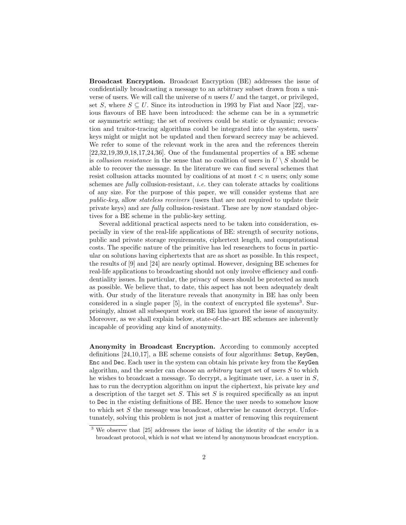Broadcast Encryption. Broadcast Encryption (BE) addresses the issue of confidentially broadcasting a message to an arbitrary subset drawn from a universe of users. We will call the universe of  $n$  users  $U$  and the target, or privileged, set S, where  $S \subseteq U$ . Since its introduction in 1993 by Fiat and Naor [22], various flavours of BE have been introduced: the scheme can be in a symmetric or asymmetric setting; the set of receivers could be static or dynamic; revocation and traitor-tracing algorithms could be integrated into the system, users' keys might or might not be updated and then forward secrecy may be achieved. We refer to some of the relevant work in the area and the references therein [22,32,19,39,9,18,17,24,36]. One of the fundamental properties of a BE scheme is collusion resistance in the sense that no coalition of users in  $U \setminus S$  should be able to recover the message. In the literature we can find several schemes that resist collusion attacks mounted by coalitions of at most  $t < n$  users; only some schemes are fully collusion-resistant, *i.e.* they can tolerate attacks by coalitions of any size. For the purpose of this paper, we will consider systems that are public-key, allow stateless receivers (users that are not required to update their private keys) and are fully collusion-resistant. These are by now standard objectives for a BE scheme in the public-key setting.

Several additional practical aspects need to be taken into consideration, especially in view of the real-life applications of BE: strength of security notions, public and private storage requirements, ciphertext length, and computational costs. The specific nature of the primitive has led researchers to focus in particular on solutions having ciphertexts that are as short as possible. In this respect, the results of [9] and [24] are nearly optimal. However, designing BE schemes for real-life applications to broadcasting should not only involve efficiency and confidentiality issues. In particular, the privacy of users should be protected as much as possible. We believe that, to date, this aspect has not been adequately dealt with. Our study of the literature reveals that anonymity in BE has only been considered in a single paper  $[5]$ , in the context of encrypted file systems<sup>3</sup>. Surprisingly, almost all subsequent work on BE has ignored the issue of anonymity. Moreover, as we shall explain below, state-of-the-art BE schemes are inherently incapable of providing any kind of anonymity.

Anonymity in Broadcast Encryption. According to commonly accepted definitions [24,10,17], a BE scheme consists of four algorithms: Setup, KeyGen, Enc and Dec. Each user in the system can obtain his private key from the KeyGen algorithm, and the sender can choose an *arbitrary* target set of users  $S$  to which he wishes to broadcast a message. To decrypt, a legitimate user, i.e. a user in S, has to run the decryption algorithm on input the ciphertext, his private key and a description of the target set  $S$ . This set  $S$  is required specifically as an input to Dec in the existing definitions of BE. Hence the user needs to somehow know to which set S the message was broadcast, otherwise he cannot decrypt. Unfortunately, solving this problem is not just a matter of removing this requirement

<sup>&</sup>lt;sup>3</sup> We observe that [25] addresses the issue of hiding the identity of the *sender* in a broadcast protocol, which is not what we intend by anonymous broadcast encryption.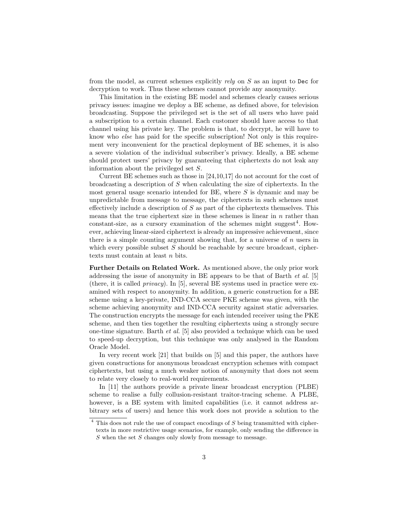from the model, as current schemes explicitly rely on S as an input to Dec for decryption to work. Thus these schemes cannot provide any anonymity.

This limitation in the existing BE model and schemes clearly causes serious privacy issues: imagine we deploy a BE scheme, as defined above, for television broadcasting. Suppose the privileged set is the set of all users who have paid a subscription to a certain channel. Each customer should have access to that channel using his private key. The problem is that, to decrypt, he will have to know who else has paid for the specific subscription! Not only is this requirement very inconvenient for the practical deployment of BE schemes, it is also a severe violation of the individual subscriber's privacy. Ideally, a BE scheme should protect users' privacy by guaranteeing that ciphertexts do not leak any information about the privileged set S.

Current BE schemes such as those in [24,10,17] do not account for the cost of broadcasting a description of S when calculating the size of ciphertexts. In the most general usage scenario intended for BE, where  $S$  is dynamic and may be unpredictable from message to message, the ciphertexts in such schemes must effectively include a description of  $S$  as part of the ciphertexts themselves. This means that the true ciphertext size in these schemes is linear in  $n$  rather than  $constant-size, as a cursory examination of the schemes might suggest<sup>4</sup>. How$ ever, achieving linear-sized ciphertext is already an impressive achievement, since there is a simple counting argument showing that, for a universe of  $n$  users in which every possible subset  $S$  should be reachable by secure broadcast, ciphertexts must contain at least n bits.

Further Details on Related Work. As mentioned above, the only prior work addressing the issue of anonymity in BE appears to be that of Barth *et al.* [5] (there, it is called *privacy*). In [5], several BE systems used in practice were examined with respect to anonymity. In addition, a generic construction for a BE scheme using a key-private, IND-CCA secure PKE scheme was given, with the scheme achieving anonymity and IND-CCA security against static adversaries. The construction encrypts the message for each intended receiver using the PKE scheme, and then ties together the resulting ciphertexts using a strongly secure one-time signature. Barth et al. [5] also provided a technique which can be used to speed-up decryption, but this technique was only analysed in the Random Oracle Model.

In very recent work [21] that builds on [5] and this paper, the authors have given constructions for anonymous broadcast encryption schemes with compact ciphertexts, but using a much weaker notion of anonymity that does not seem to relate very closely to real-world requirements.

In [11] the authors provide a private linear broadcast encryption (PLBE) scheme to realise a fully collusion-resistant traitor-tracing scheme. A PLBE, however, is a BE system with limited capabilities (i.e. it cannot address arbitrary sets of users) and hence this work does not provide a solution to the

 $4$  This does not rule the use of compact encodings of  $S$  being transmitted with ciphertexts in more restrictive usage scenarios, for example, only sending the difference in S when the set S changes only slowly from message to message.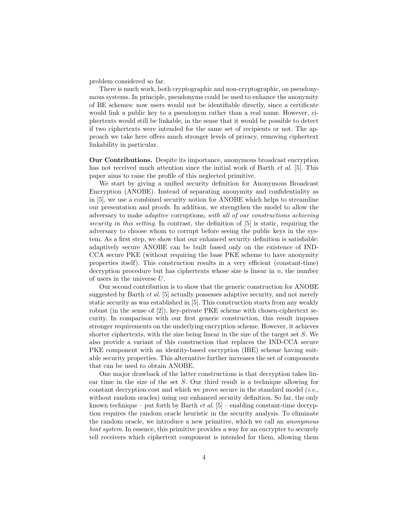problem considered so far.

There is much work, both cryptographic and non-cryptographic, on pseudonymous systems. In principle, pseudonyms could be used to enhance the anonymity of BE schemes: now users would not be identifiable directly, since a certificate would link a public key to a pseudonym rather than a real name. However, ciphertexts would still be linkable, in the sense that it would be possible to detect if two ciphertexts were intended for the same set of recipients or not. The approach we take here offers much stronger levels of privacy, removing ciphertext linkability in particular.

Our Contributions. Despite its importance, anonymous broadcast encryption has not received much attention since the initial work of Barth *et al.* [5]. This paper aims to raise the profile of this neglected primitive.

We start by giving a unified security definition for Anonymous Broadcast Encryption (ANOBE). Instead of separating anonymity and confidentiality as in [5], we use a combined security notion for ANOBE which helps to streamline our presentation and proofs. In addition, we strengthen the model to allow the adversary to make adaptive corruptions, with all of our constructions achieving security in this setting. In contrast, the definition of [5] is static, requiring the adversary to choose whom to corrupt before seeing the public keys in the system. As a first step, we show that our enhanced security definition is satisfiable: adaptively secure ANOBE can be built based only on the existence of IND-CCA secure PKE (without requiring the base PKE scheme to have anonymity properties itself). This construction results in a very efficient (constant-time) decryption procedure but has ciphertexts whose size is linear in  $n$ , the number of users in the universe U.

Our second contribution is to show that the generic construction for ANOBE suggested by Barth et al. [5] actually possesses adaptive security, and not merely static security as was established in [5]. This construction starts from any weakly robust (in the sense of [2]), key-private PKE scheme with chosen-ciphertext security. In comparison with our first generic construction, this result imposes stronger requirements on the underlying encryption scheme. However, it achieves shorter ciphertexts, with the size being linear in the size of the target set  $S$ . We also provide a variant of this construction that replaces the IND-CCA secure PKE component with an identity-based encryption (IBE) scheme having suitable security properties. This alternative further increases the set of components that can be used to obtain ANOBE.

One major drawback of the latter constructions is that decryption takes linear time in the size of the set S. Our third result is a technique allowing for constant decryption cost and which we prove secure in the standard model  $(i.e.,$ without random oracles) using our enhanced security definition. So far, the only known technique – put forth by Barth *et al.* [5] – enabling constant-time decryption requires the random oracle heuristic in the security analysis. To eliminate the random oracle, we introduce a new primitive, which we call an anonymous hint system. In essence, this primitive provides a way for an encrypter to securely tell receivers which ciphertext component is intended for them, allowing them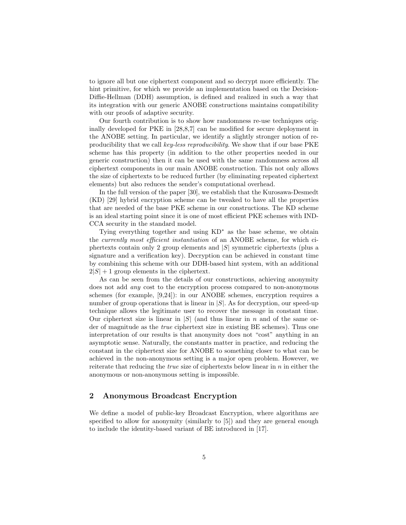to ignore all but one ciphertext component and so decrypt more efficiently. The hint primitive, for which we provide an implementation based on the Decision-Diffie-Hellman (DDH) assumption, is defined and realized in such a way that its integration with our generic ANOBE constructions maintains compatibility with our proofs of adaptive security.

Our fourth contribution is to show how randomness re-use techniques originally developed for PKE in [28,8,7] can be modified for secure deployment in the ANOBE setting. In particular, we identify a slightly stronger notion of reproducibility that we call key-less reproducibility. We show that if our base PKE scheme has this property (in addition to the other properties needed in our generic construction) then it can be used with the same randomness across all ciphertext components in our main ANOBE construction. This not only allows the size of ciphertexts to be reduced further (by eliminating repeated ciphertext elements) but also reduces the sender's computational overhead.

In the full version of the paper [30], we establish that the Kurosawa-Desmedt (KD) [29] hybrid encryption scheme can be tweaked to have all the properties that are needed of the base PKE scheme in our constructions. The KD scheme is an ideal starting point since it is one of most efficient PKE schemes with IND-CCA security in the standard model.

Tying everything together and using KD<sup>∗</sup> as the base scheme, we obtain the currently most efficient instantiation of an ANOBE scheme, for which ciphertexts contain only 2 group elements and |S| symmetric ciphertexts (plus a signature and a verification key). Decryption can be achieved in constant time by combining this scheme with our DDH-based hint system, with an additional  $2|S| + 1$  group elements in the ciphertext.

As can be seen from the details of our constructions, achieving anonymity does not add any cost to the encryption process compared to non-anonymous schemes (for example, [9,24]): in our ANOBE schemes, encryption requires a number of group operations that is linear in  $|S|$ . As for decryption, our speed-up technique allows the legitimate user to recover the message in constant time. Our ciphertext size is linear in  $|S|$  (and thus linear in n and of the same order of magnitude as the true ciphertext size in existing BE schemes). Thus one interpretation of our results is that anonymity does not "cost" anything in an asymptotic sense. Naturally, the constants matter in practice, and reducing the constant in the ciphertext size for ANOBE to something closer to what can be achieved in the non-anonymous setting is a major open problem. However, we reiterate that reducing the *true* size of ciphertexts below linear in  $n$  in either the anonymous or non-anonymous setting is impossible.

## 2 Anonymous Broadcast Encryption

We define a model of public-key Broadcast Encryption, where algorithms are specified to allow for anonymity (similarly to [5]) and they are general enough to include the identity-based variant of BE introduced in [17].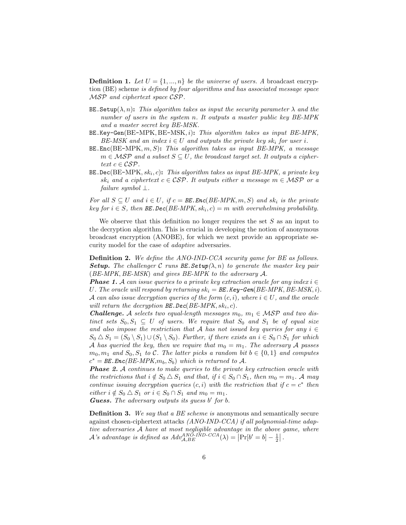**Definition 1.** Let  $U = \{1, ..., n\}$  be the universe of users. A broadcast encryption (BE) scheme is defined by four algorithms and has associated message space MSP and ciphertext space CSP.

- BE. Setup( $\lambda$ , n): This algorithm takes as input the security parameter  $\lambda$  and the number of users in the system n. It outputs a master public key BE-MPK and a master secret key BE-MSK.
- $BE.Key-Gen(BE-MPK, BE-MSK, i):$  This algorithm takes as input BE-MPK, BE-MSK and an index  $i \in U$  and outputs the private key sk<sub>i</sub> for user i.
- $BE. Enc(BE-MPK, m, S)$ : This algorithm takes as input BE-MPK, a message  $m \in \mathcal{MSP}$  and a subset  $S \subseteq U$ , the broadcast target set. It outputs a ciphertext  $c \in \mathcal{CSP}$ .
- ${\tt BE. Dec}({\tt BE-MPK}, \mathit{sk}_i, c)$ : This algorithm takes as input  ${\tt BE-MPK},$  a private key sk<sub>i</sub> and a ciphertext  $c \in \mathcal{CSP}$ . It outputs either a message  $m \in \mathcal{MSP}$  or a failure symbol  $\perp$ .

For all  $S \subseteq U$  and  $i \in U$ , if  $c = BE \cdot Enc(BE \cdot MPK, m, S)$  and  $sk_i$  is the private  $key for i \in S, then \text{ BE. Dec}(BE-MPK, sk_i, c) = m with overwhelming probability.$ 

We observe that this definition no longer requires the set  $S$  as an input to the decryption algorithm. This is crucial in developing the notion of anonymous broadcast encryption (ANOBE), for which we next provide an appropriate security model for the case of adaptive adversaries.

Definition 2. We define the ANO-IND-CCA security game for BE as follows. **Setup.** The challenger C runs  $BE$ . Setup $(\lambda, n)$  to generate the master key pair (BE-MPK, BE-MSK) and gives BE-MPK to the adversary A.

**Phase 1.** A can issue queries to a private key extraction oracle for any index  $i \in$ U. The oracle will respond by returning  $sk_i = BE$ . Key-Gen(BE-MPK, BE-MSK, i). A can also issue decryption queries of the form  $(c, i)$ , where  $i \in U$ , and the oracle will return the decryption  $B\mathbf{E}.\mathsf{Dec}(BE\text{-}MPK, sk_i, c)$ .

**Challenge.** A selects two equal-length messages  $m_0$ ,  $m_1 \in \mathcal{MSP}$  and two distinct sets  $S_0, S_1 \subseteq U$  of users. We require that  $S_0$  and  $S_1$  be of equal size and also impose the restriction that A has not issued key queries for any  $i \in$  $S_0 \triangle S_1 = (S_0 \setminus S_1) \cup (S_1 \setminus S_0)$ . Further, if there exists an  $i \in S_0 \cap S_1$  for which A has queried the key, then we require that  $m_0 = m_1$ . The adversary A passes  $m_0, m_1$  and  $S_0, S_1$  to C. The latter picks a random bit  $b \in \{0, 1\}$  and computes  $c^* = BE \cdot Enc(BE \cdot MPK, m_b, S_b)$  which is returned to A.

**Phase 2.** A continues to make queries to the private key extraction oracle with the restrictions that  $i \notin S_0 \triangle S_1$  and that, if  $i \in S_0 \cap S_1$ , then  $m_0 = m_1$ . A may continue issuing decryption queries  $(c, i)$  with the restriction that if  $c = c^*$  then either  $i \notin S_0 \triangle S_1$  or  $i \in S_0 \cap S_1$  and  $m_0 = m_1$ .

Guess. The adversary outputs its guess b' for b.

Definition 3. We say that a BE scheme is anonymous and semantically secure against chosen-ciphertext attacks  $(ANO-IND-CCA)$  if all polynomial-time adaptive adversaries A have at most negligible advantage in the above game, where A's advantage is defined as  $Adv_{A,BE}^{ANO-IND-CCA}(\lambda) = |Pr[b'=b]-\frac{1}{2}|$ .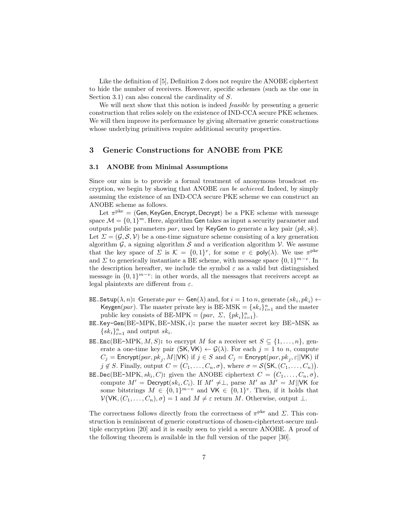Like the definition of [5], Definition 2 does not require the ANOBE ciphertext to hide the number of receivers. However, specific schemes (such as the one in Section 3.1) can also conceal the cardinality of S.

We will next show that this notion is indeed *feasible* by presenting a generic construction that relies solely on the existence of IND-CCA secure PKE schemes. We will then improve its performance by giving alternative generic constructions whose underlying primitives require additional security properties.

## 3 Generic Constructions for ANOBE from PKE

#### 3.1 ANOBE from Minimal Assumptions

Since our aim is to provide a formal treatment of anonymous broadcast encryption, we begin by showing that ANOBE can be achieved. Indeed, by simply assuming the existence of an IND-CCA secure PKE scheme we can construct an ANOBE scheme as follows.

Let  $\pi^{\rm pke} =$  (Gen, KeyGen, Encrypt, Decrypt) be a PKE scheme with message space  $\mathcal{M} = \{0, 1\}^m$ . Here, algorithm Gen takes as input a security parameter and outputs public parameters par, used by KeyGen to generate a key pair  $(pk, sk)$ . Let  $\Sigma = (\mathcal{G}, \mathcal{S}, \mathcal{V})$  be a one-time signature scheme consisting of a key generation algorithm  $\mathcal{G}$ , a signing algorithm  $\mathcal{S}$  and a verification algorithm  $\mathcal{V}$ . We assume that the key space of  $\Sigma$  is  $\mathcal{K} = \{0,1\}^v$ , for some  $v \in \text{poly}(\lambda)$ . We use  $\pi^{\text{pke}}$ and  $\Sigma$  to generically instantiate a BE scheme, with message space  $\{0,1\}^{m-v}$ . In the description hereafter, we include the symbol  $\varepsilon$  as a valid but distinguished message in  $\{0,1\}^{m-v}$ : in other words, all the messages that receivers accept as legal plaintexts are different from  $\varepsilon$ .

- BE. Setup $(\lambda, n)$ : Generate  $par \leftarrow$  Gen $(\lambda)$  and, for  $i = 1$  to n, generate  $(sk_i, pk_i) \leftarrow$ Keygen(par). The master private key is BE-MSK =  $\{sk_i\}_{i=1}^n$  and the master public key consists of BE-MPK =  $-par, \Sigma, \{pk_i\}_{i=1}^n$ .
- $BE.Key-Gen(BE-MPK, BE-MSK, i)$ : parse the master secret key BE-MSK as  $\{sk_i\}_{i=1}^n$  and output  $sk_i$ .
- BE.Enc(BE-MPK, M, S): to encrypt M for a receiver set  $S \subseteq \{1, \ldots, n\}$ , generate a one-time key pair  $(SK, VK) \leftarrow \mathcal{G}(\lambda)$ . For each  $j = 1$  to n, compute  $C_j = \mathsf{Encrypt}(par, pk_j, M || \mathsf{VK}) \text{ if } j \in S \text{ and } C_j = \mathsf{Encrypt}(par, pk_j, \varepsilon || \mathsf{VK}) \text{ if }$  $j \notin S$ . Finally, output  $C = (C_1, \ldots, C_n, \sigma)$ , where  $\sigma = \mathcal{S}(\mathsf{SK}, (C_1, \ldots, C_n))$ .
- BE.Dec(BE-MPK,  $sk_i, C$ ): given the ANOBE ciphertext  $C = (C_1, \ldots, C_n, \sigma),$ compute  $M' = \mathsf{Decrypt}(sk_i, C_i)$ . If  $M' \neq \perp$ , parse  $M'$  as  $M' = M||\mathsf{VK}$  for some bitstrings  $M \in \{0,1\}^{m-v}$  and  $\forall K \in \{0,1\}^v$ . Then, if it holds that  $\mathcal{V}(\mathsf{VK},(C_1,\ldots,C_n),\sigma) = 1$  and  $M \neq \varepsilon$  return M. Otherwise, output  $\bot$ .

The correctness follows directly from the correctness of  $\pi^{\text{pke}}$  and  $\Sigma$ . This construction is reminiscent of generic constructions of chosen-ciphertext-secure multiple encryption [20] and it is easily seen to yield a secure ANOBE. A proof of the following theorem is available in the full version of the paper [30].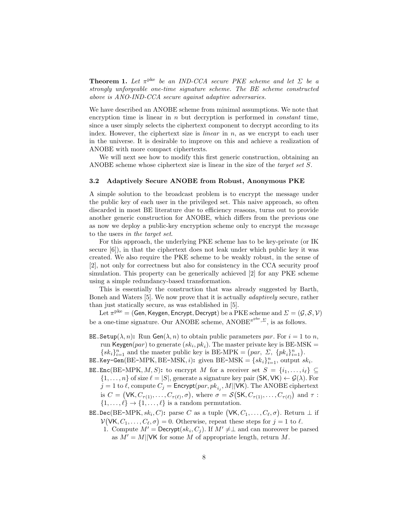**Theorem 1.** Let  $\pi^{pke}$  be an IND-CCA secure PKE scheme and let  $\Sigma$  be a strongly unforgeable one-time signature scheme. The BE scheme constructed above is ANO-IND-CCA secure against adaptive adversaries.

We have described an ANOBE scheme from minimal assumptions. We note that encryption time is linear in  $n$  but decryption is performed in *constant* time, since a user simply selects the ciphertext component to decrypt according to its index. However, the ciphertext size is *linear* in  $n$ , as we encrypt to each user in the universe. It is desirable to improve on this and achieve a realization of ANOBE with more compact ciphertexts.

We will next see how to modify this first generic construction, obtaining an ANOBE scheme whose ciphertext size is linear in the size of the target set S.

#### 3.2 Adaptively Secure ANOBE from Robust, Anonymous PKE

A simple solution to the broadcast problem is to encrypt the message under the public key of each user in the privileged set. This naive approach, so often discarded in most BE literature due to efficiency reasons, turns out to provide another generic construction for ANOBE, which differs from the previous one as now we deploy a public-key encryption scheme only to encrypt the message to the users in the target set.

For this approach, the underlying PKE scheme has to be key-private (or IK secure [6]), in that the ciphertext does not leak under which public key it was created. We also require the PKE scheme to be weakly robust, in the sense of [2], not only for correctness but also for consistency in the CCA security proof simulation. This property can be generically achieved [2] for any PKE scheme using a simple redundancy-based transformation.

This is essentially the construction that was already suggested by Barth, Boneh and Waters [5]. We now prove that it is actually adaptively secure, rather than just statically secure, as was established in [5].

Let  $\pi^{\rm pke} =$  (Gen, Keygen, Encrypt, Decrypt) be a PKE scheme and  $\Sigma = (\mathcal{G}, \mathcal{S}, \mathcal{V})$ be a one-time signature. Our ANOBE scheme,  $\text{ANOBE}^{\pi^{\text{pke}}, \Sigma}$ , is as follows.

- BE. Setup( $\lambda$ , n): Run Gen( $\lambda$ , n) to obtain public parameters par. For  $i = 1$  to n, run Keygen $\left( par\right)$  to generate  $\left( sk_{i},pk_{i}\right)$ . The master private key is BE-MSK =
	- $\{sk_i\}_{i=1}^n$  and the master public key is BE-MPK =  $\left( par, \sum, \{pk_i\}_{i=1}^n \right)$ .

BE.Key-Gen(BE-MPK, BE-MSK, *i*): given BE-MSK =  $\{sk_i\}_{i=1}^n$ , output  $sk_i$ .

BE.Enc(BE-MPK, M, S): to encrypt M for a receiver set  $S = \{i_1, \ldots, i_\ell\} \subseteq$  $\{1, \ldots, n\}$  of size  $\ell = |S|$ , generate a signature key pair  $(SK, VK) \leftarrow \mathcal{G}(\lambda)$ . For  $j = 1$  to  $\ell$ , compute  $C_j = \mathsf{Encrypt}(par, pk_{i_j}, M||\mathsf{VK}).$  The ANOBE ciphertext is  $C = (\mathsf{VK}, C_{\tau(1)}, \ldots, C_{\tau(\ell)}, \sigma)$ , where  $\sigma = \mathcal{S}(\mathsf{SK}, C_{\tau(1)}, \ldots, C_{\tau(\ell)})$  and  $\tau$ :  $\{1, \ldots, \ell\} \rightarrow \{1, \ldots, \ell\}$  is a random permutation.

BE.Dec(BE-MPK, $sk_i, C$ ): parse  $C$  as a tuple  $({\sf V}{\sf K},C_1,\ldots,C_\ell,\sigma).$  Return  $\bot$  if  $\mathcal{V}(\mathsf{VK}, C_1, \ldots, C_\ell, \sigma) = 0.$  Otherwise, repeat these steps for  $j = 1$  to  $\ell$ .

1. Compute  $M' = \mathsf{Decrypt}(sk_i, C_j)$ . If  $M' \neq \perp$  and can moreover be parsed as  $M' = M||VK$  for some M of appropriate length, return M.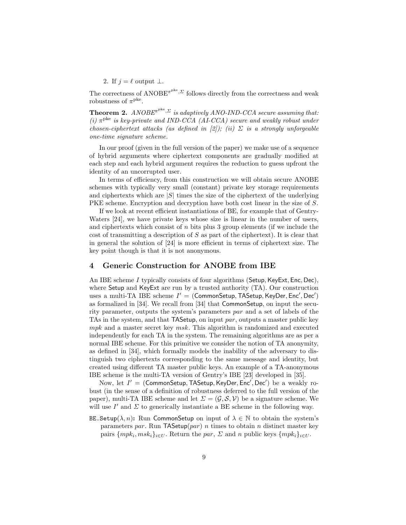2. If  $j = \ell$  output ⊥.

The correctness of ANOBE<sup> $\pi$ <sup>pke</sup>, $\Sigma$  follows directly from the correctness and weak</sup> robustness of  $\pi$ <sup>pke</sup>.

**Theorem 2.**  $ANOBE^{\pi^{\text{pke}}}, \Sigma$  is adaptively ANO-IND-CCA secure assuming that: (i)  $\pi^{\rm pke}$  is key-private and IND-CCA (AI-CCA) secure and weakly robust under chosen-ciphertext attacks (as defined in [2]); (ii)  $\Sigma$  is a strongly unforgeable one-time signature scheme.

In our proof (given in the full version of the paper) we make use of a sequence of hybrid arguments where ciphertext components are gradually modified at each step and each hybrid argument requires the reduction to guess upfront the identity of an uncorrupted user.

In terms of efficiency, from this construction we will obtain secure ANOBE schemes with typically very small (constant) private key storage requirements and ciphertexts which are  $|S|$  times the size of the ciphertext of the underlying PKE scheme. Encryption and decryption have both cost linear in the size of S.

If we look at recent efficient instantiations of BE, for example that of Gentry-Waters [24], we have private keys whose size is linear in the number of users, and ciphertexts which consist of  $n$  bits plus 3 group elements (if we include the cost of transmitting a description of  $S$  as part of the ciphertext). It is clear that in general the solution of [24] is more efficient in terms of ciphertext size. The key point though is that it is not anonymous.

## 4 Generic Construction for ANOBE from IBE

An IBE scheme  $I$  typically consists of four algorithms (Setup, KeyExt, Enc, Dec), where Setup and KeyExt are run by a trusted authority (TA). Our construction uses a multi-TA IBE scheme  $I' = (CommonSetup, TASetup, KeyDer, Enc', Dec')$ as formalized in [34]. We recall from [34] that CommonSetup, on input the security parameter, outputs the system's parameters par and a set of labels of the TAs in the system, and that TASetup, on input par, outputs a master public key  $mpk$  and a master secret key  $msk$ . This algorithm is randomized and executed independently for each TA in the system. The remaining algorithms are as per a normal IBE scheme. For this primitive we consider the notion of TA anonymity, as defined in [34], which formally models the inability of the adversary to distinguish two ciphertexts corresponding to the same message and identity, but created using different TA master public keys. An example of a TA-anonymous IBE scheme is the multi-TA version of Gentry's IBE [23] developed in [35].

Now, let  $I' =$  (CommonSetup, TASetup, KeyDer, Enc', Dec') be a weakly robust (in the sense of a definition of robustness deferred to the full version of the paper), multi-TA IBE scheme and let  $\Sigma = (\mathcal{G}, \mathcal{S}, \mathcal{V})$  be a signature scheme. We will use  $I'$  and  $\Sigma$  to generically instantiate a BE scheme in the following way.

BE. Setup( $\lambda$ , n): Run CommonSetup on input of  $\lambda \in \mathbb{N}$  to obtain the system's parameters par. Run TASetup(par) n times to obtain n distinct master key pairs  $\{mpk_i, msk_i\}_{i\in U}$ . Return the par,  $\Sigma$  and n public keys  $\{mpk_i\}_{i\in U}$ .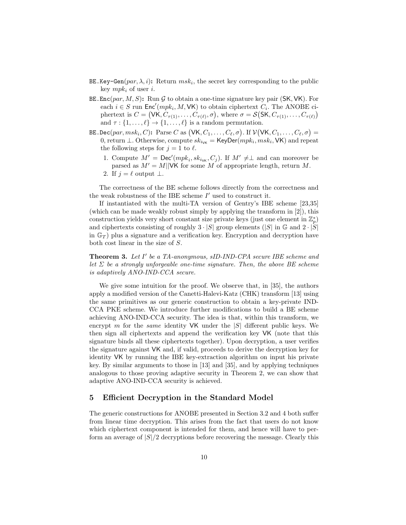- BE.Key-Gen $(par, \lambda, i)$ : Return  $msk_i$ , the secret key corresponding to the public key  $mpk_i$  of user i.
- BE. Enc(par, M, S): Run G to obtain a one-time signature key pair (SK, VK). For each  $i \in S$  run  $Enc'(mpk_i, M, \forall K)$  to obtain ciphertext  $C_i$ . The ANOBE ciphertext is  $C = (\mathsf{VK}, C_{\tau(1)}, \ldots, C_{\tau(\ell)}, \sigma)$ , where  $\sigma = \mathcal{S}(\mathsf{SK}, C_{\tau(1)}, \ldots, C_{\tau(\ell)})$ and  $\tau : \{1, \ldots, \ell\} \rightarrow \{1, \ldots, \ell\}$  is a random permutation.
- BE.Dec(par,  $msk_i, C$ ): Parse C as  $(\mathsf{VK}, C_1, \ldots, C_\ell, \sigma)$ . If  $\mathcal{V}(\mathsf{VK}, C_1, \ldots, C_\ell, \sigma) =$ 0, return ⊥. Otherwise, compute  $sk_{i_{\forall K}} = \textsf{KeyDer}(mpk_i, msk_i, \textsf{VK})$  and repeat the following steps for  $j = 1$  to  $\ell$ .
	- 1. Compute  $M' = \text{Dec}'(mpk_i, sk_{i_{\forall K}}, C_j)$ . If  $M' \neq \perp$  and can moreover be parsed as  $M' = M||VK$  for some M of appropriate length, return M.
	- 2. If  $j = \ell$  output ⊥.

The correctness of the BE scheme follows directly from the correctness and the weak robustness of the IBE scheme  $I'$  used to construct it.

If instantiated with the multi-TA version of Gentry's IBE scheme [23,35] (which can be made weakly robust simply by applying the transform in [2]), this construction yields very short constant size private keys (just one element in  $\mathbb{Z}_p^*$ ) and ciphertexts consisting of roughly  $3 \cdot |S|$  group elements (|S| in G and  $2 \cdot |S|$ in  $\mathbb{G}_T$ ) plus a signature and a verification key. Encryption and decryption have both cost linear in the size of S.

**Theorem 3.** Let  $I'$  be a TA-anonymous, sID-IND-CPA secure IBE scheme and let  $\Sigma$  be a strongly unforgeable one-time signature. Then, the above BE scheme is adaptively ANO-IND-CCA secure.

We give some intuition for the proof. We observe that, in [35], the authors apply a modified version of the Canetti-Halevi-Katz (CHK) transform [13] using the same primitives as our generic construction to obtain a key-private IND-CCA PKE scheme. We introduce further modifications to build a BE scheme achieving ANO-IND-CCA security. The idea is that, within this transform, we encrypt m for the *same* identity VK under the  $|S|$  different public keys. We then sign all ciphertexts and append the verification key VK (note that this signature binds all these ciphertexts together). Upon decryption, a user verifies the signature against VK and, if valid, proceeds to derive the decryption key for identity VK by running the IBE key-extraction algorithm on input his private key. By similar arguments to those in [13] and [35], and by applying techniques analogous to those proving adaptive security in Theorem 2, we can show that adaptive ANO-IND-CCA security is achieved.

## 5 Efficient Decryption in the Standard Model

The generic constructions for ANOBE presented in Section 3.2 and 4 both suffer from linear time decryption. This arises from the fact that users do not know which ciphertext component is intended for them, and hence will have to perform an average of  $|S|/2$  decryptions before recovering the message. Clearly this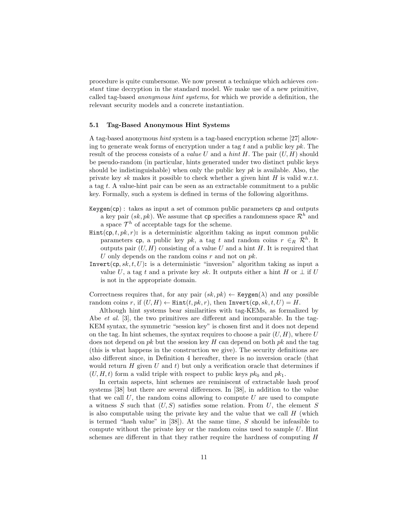procedure is quite cumbersome. We now present a technique which achieves constant time decryption in the standard model. We make use of a new primitive, called tag-based anonymous hint systems, for which we provide a definition, the relevant security models and a concrete instantiation.

#### 5.1 Tag-Based Anonymous Hint Systems

A tag-based anonymous hint system is a tag-based encryption scheme [27] allowing to generate weak forms of encryption under a tag t and a public key  $pk$ . The result of the process consists of a *value U* and a *hint H*. The pair  $(U, H)$  should be pseudo-random (in particular, hints generated under two distinct public keys should be indistinguishable) when only the public key  $pk$  is available. Also, the private key sk makes it possible to check whether a given hint  $H$  is valid w.r.t. a tag t. A value-hint pair can be seen as an extractable commitment to a public key. Formally, such a system is defined in terms of the following algorithms.

- $Keygen(cp)$ : takes as input a set of common public parameters  $cp$  and outputs a key pair  $(sk, pk)$ . We assume that cp specifies a randomness space  $\mathcal{R}^h$  and a space  $\mathcal{T}^h$  of acceptable tags for the scheme.
- $Hint(cp, t, pk, r):$  is a deterministic algorithm taking as input common public parameters cp, a public key pk, a tag t and random coins  $r \in_R \mathcal{R}^h$ . It outputs pair  $(U, H)$  consisting of a value U and a hint H. It is required that U only depends on the random coins  $r$  and not on  $pk$ .
- Invert $(\mathsf{cp}, sk, t, U)$ : is a deterministic "inversion" algorithm taking as input a value U, a tag t and a private key sk. It outputs either a hint H or  $\perp$  if U is not in the appropriate domain.

Correctness requires that, for any pair  $(sk, pk) \leftarrow \text{Keygen}(\lambda)$  and any possible random coins r, if  $(U, H) \leftarrow \text{Hint}(t, pk, r)$ , then Invert(cp, sk, t, U) = H.

Although hint systems bear similarities with tag-KEMs, as formalized by Abe et al. [3], the two primitives are different and incomparable. In the tag-KEM syntax, the symmetric "session key" is chosen first and it does not depend on the tag. In hint schemes, the syntax requires to choose a pair  $(U, H)$ , where U does not depend on  $pk$  but the session key  $H$  can depend on both  $pk$  and the tag (this is what happens in the construction we give). The security definitions are also different since, in Definition 4 hereafter, there is no inversion oracle (that would return  $H$  given  $U$  and  $t$ ) but only a verification oracle that determines if  $(U, H, t)$  form a valid triple with respect to public keys  $pk_0$  and  $pk_1$ .

In certain aspects, hint schemes are reminiscent of extractable hash proof systems [38] but there are several differences. In [38], in addition to the value that we call  $U$ , the random coins allowing to compute  $U$  are used to compute a witness S such that  $(U, S)$  satisfies some relation. From U, the element S is also computable using the private key and the value that we call  $H$  (which is termed "hash value" in  $[38]$ ). At the same time, S should be infeasible to compute without the private key or the random coins used to sample  $U$ . Hint schemes are different in that they rather require the hardness of computing  $H$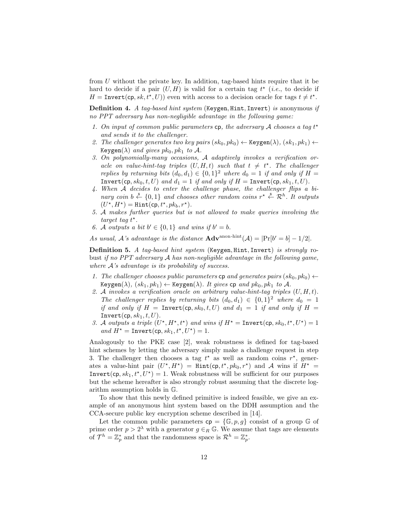from U without the private key. In addition, tag-based hints require that it be hard to decide if a pair  $(U, H)$  is valid for a certain tag  $t^*$  (*i.e.*, to decide if  $H = \text{Invert}(\text{cp}, sk, t^*, U)$  even with access to a decision oracle for tags  $t \neq t^*$ .

Definition 4. A tag-based hint system (Keygen, Hint, Invert) is anonymous if no PPT adversary has non-negligible advantage in the following game:

- 1. On input of common public parameters  $cp$ , the adversary A chooses a tag  $t^*$ and sends it to the challenger.
- 2. The challenger generates two key pairs  $(sk_0, pk_0) \leftarrow \text{Keygen}(\lambda), (sk_1, pk_1) \leftarrow$ Keygen( $\lambda$ ) and gives  $pk_0, pk_1$  to A.
- 3. On polynomially-many occasions, A adaptively invokes a verification oracle on value-hint-tag triples  $(U, H, t)$  such that  $t \neq t^*$ . The challenger replies by returning bits  $(d_0, d_1) \in \{0, 1\}^2$  where  $d_0 = 1$  if and only if  $H =$ Invert(cp,  $sk_0, t, U$ ) and  $d_1 = 1$  if and only if  $H = \text{Invert}(cp, sk_1, t, U)$ .
- 4. When A decides to enter the challenge phase, the challenger flips a binary coin  $b \stackrel{s}{\leftarrow} \{0,1\}$  and chooses other random coins  $r^* \stackrel{s}{\leftarrow} \mathcal{R}^h$ . It outputs  $(U^{\star}, H^{\star}) = \texttt{Hint}(\texttt{cp}, t^{\star}, pk_b, r^{\star}).$
- 5. A makes further queries but is not allowed to make queries involving the target tag  $t^*$ .
- 6. A outputs a bit  $b' \in \{0,1\}$  and wins if  $b' = b$ .

As usual, A's advantage is the distance  $\mathbf{Adv}^{\text{anon-hint}}(\mathcal{A}) = |\Pr[b' = b] - 1/2|$ .

Definition 5. A tag-based hint system (Keygen, Hint, Invert) is strongly robust if no PPT adversary A has non-negligible advantage in the following game, where  $A$ 's advantage is its probability of success.

- 1. The challenger chooses public parameters  $cp$  and generates pairs  $(sk_0, pk_0) \leftarrow$ Keygen( $\lambda$ ),  $(sk_1, pk_1$ )  $\leftarrow$  Keygen( $\lambda$ ). It gives  $cp$  and  $pk_0, pk_1$  to  $A$ .
- 2. A invokes a verification oracle on arbitrary value-hint-tag triples  $(U, H, t)$ . The challenger replies by returning bits  $(d_0, d_1) \in \{0, 1\}^2$  where  $d_0 = 1$ if and only if  $H = \text{Invert}(cp, sk_0, t, U)$  and  $d_1 = 1$  if and only if  $H =$ Invert(cp,  $sk_1, t, U$ ).
- 3. A outputs a triple  $(U^*, H^*, t^*)$  and wins if  $H^* = \text{Invert}(\text{cp}, sk_0, t^*, U^*) = 1$ and  $H^* = \text{Invert}(\text{cp}, sk_1, t^*, U^*) = 1.$

Analogously to the PKE case [2], weak robustness is defined for tag-based hint schemes by letting the adversary simply make a challenge request in step 3. The challenger then chooses a tag  $t^*$  as well as random coins  $r^*$ , generates a value-hint pair  $(U^*, H^*) = \text{Hint}(\text{cp}, t^*, pk_0, r^*)$  and A wins if  $H^* =$ Invert(cp,  $sk_1, t^{\star}, U^{\star}$ ) = 1. Weak robustness will be sufficient for our purposes but the scheme hereafter is also strongly robust assuming that the discrete logarithm assumption holds in G.

To show that this newly defined primitive is indeed feasible, we give an example of an anonymous hint system based on the DDH assumption and the CCA-secure public key encryption scheme described in [14].

Let the common public parameters  $cp = \{G, p, g\}$  consist of a group G of prime order  $p > 2^{\lambda}$  with a generator  $g \in_R \mathbb{G}$ . We assume that tags are elements of  $\mathcal{T}^h = \mathbb{Z}_p^*$  and that the randomness space is  $\mathcal{R}^h = \mathbb{Z}_p^*$ .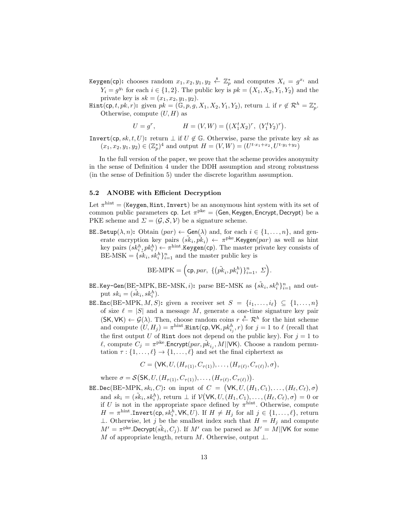Keygen(cp): chooses random  $x_1, x_2, y_1, y_2 \stackrel{s}{\leftarrow} \mathbb{Z}_p^*$  and computes  $X_i = g^{x_i}$  and  $Y_i = g^{y_i}$  for each  $i \in \{1, 2\}$ . The public key is  $pk = (X_1, X_2, Y_1, Y_2)$  and the private key is  $sk = (x_1, x_2, y_1, y_2)$ .

 $\text{Hint}(\textsf{cp}, t, pk, r) \colon \text{ given } pk = (\mathbb{G}, p, g, X_1, X_2, Y_1, Y_2), \text{ return } \perp \text{ if } r \notin \mathcal{R}^h = \mathbb{Z}_p^*.$ Otherwise, compute  $(U, H)$  as

$$
U = g^r
$$
,  $H = (V, W) = ((X_1^t X_2)^r, (Y_1^t Y_2)^r)$ .

Invert(cp, sk, t, U): return  $\perp$  if  $U \notin \mathbb{G}$ . Otherwise, parse the private key sk as  $(x_1, x_2, y_1, y_2) \in (\mathbb{Z}_p^*)^4$  and output  $H = (V, W) = (U^{t \cdot x_1 + x_2}, U^{t \cdot y_1 + y_2})$ 

In the full version of the paper, we prove that the scheme provides anonymity in the sense of Definition 4 under the DDH assumption and strong robustness (in the sense of Definition 5) under the discrete logarithm assumption.

# 5.2 ANOBE with Efficient Decryption

Let  $\pi^\text{hint} =$  (Keygen, Hint, Invert) be an anonymous hint system with its set of common public parameters  $\mathsf{cp}.$  Let  $\pi^\mathsf{pke} = (\mathsf{Gen}, \mathsf{Keygen}, \mathsf{Encrypt}, \mathsf{Decrypt})$  be a PKE scheme and  $\Sigma = (\mathcal{G}, \mathcal{S}, \mathcal{V})$  be a signature scheme.

BE. Setup( $\lambda$ , n): Obtain (par)  $\leftarrow$  Gen( $\lambda$ ) and, for each  $i \in \{1, \ldots, n\}$ , and generate encryption key pairs  $(\tilde{sk}_i, \tilde{pk}_i) \leftarrow \pi^{\text{pke}}$ .Keygen $(par)$  as well as hint key pairs  $(sk_i^h, pk_i^h) \leftarrow \pi^{\text{hint}}$ .Keygen(cp). The master private key consists of BE-MSK =  $\{\tilde{s}\tilde{k}_i, s k_i^h\}_{i=1}^n$  and the master public key is

BE-MPK = 
$$
(\text{cp}, par, \{(\tilde{pk}_i, pk_i^h)\}_{i=1}^n, \Sigma).
$$

- BE.Key-Gen(BE-MPK, BE-MSK,  $i$ ): parse BE-MSK as  $\{\tilde{sk}_i, sk_i^h\}_{i=1}^n$  and output  $sk_i = (\tilde{sk}_i, sk_i^h)$ .
- BE.Enc(BE-MPK, M, S): given a receiver set  $S = \{i_1, \ldots, i_\ell\} \subseteq \{1, \ldots, n\}$ of size  $\ell = |S|$  and a message M, generate a one-time signature key pair  $(\mathsf{SK}, \mathsf{VK}) \leftarrow \mathcal{G}(\lambda)$ . Then, choose random coins  $r \stackrel{\hspace{0.1em}\mathsf{\scriptscriptstyle\$}}{\leftarrow} \mathcal{R}^h$  for the hint scheme and compute  $(U, H_j) = \pi^{\text{hint}}$ .Hint(cp, VK,  $pk_{i_j}^h$ , r) for  $j = 1$  to  $\ell$  (recall that the first output U of Hint does not depend on the public key). For  $j = 1$  to l, compute  $C_j = \pi^{\text{pke}}$ . Encrypt $(par, \tilde{pk}_{i_j}, M||\forall K)$ . Choose a random permutation  $\tau : \{1, \ldots, \ell\} \to \{1, \ldots, \ell\}$  and set the final ciphertext as

$$
C = \big(\mathsf{VK}, U, (H_{\tau(1)}, C_{\tau(1)}), \ldots, (H_{\tau(\ell)}, C_{\tau(\ell)}), \sigma\big),
$$

where  $\sigma = \mathcal{S}(\mathsf{SK}, U, (H_{\tau(1)}, C_{\tau(1)}), \ldots, (H_{\tau(\ell)}, C_{\tau(\ell)})).$ 

BE.Dec(BE-MPK,  $sk_i, C$ ): on input of  $C = (\mathsf{VK}, U, (H_1, C_1), \ldots, (H_\ell, C_\ell), \sigma)$ and  $sk_i = (\tilde{sk}_i, sk_i^h)$ , return  $\perp$  if  $\mathcal{V}(\mathsf{VK}, U, (H_1, C_1), \ldots, (H_\ell, C_\ell), \sigma) = 0$  or if U is not in the appropriate space defined by  $\pi^{\text{hint}}$ . Otherwise, compute  $H = \pi^{\text{hint}}$ .Invert(cp, sk<sub>i</sub><sup>h</sup>, VK, U). If  $H \neq H_j$  for all  $j \in \{1, ..., \ell\}$ , return ⊥. Otherwise, let j be the smallest index such that  $H = H<sub>j</sub>$  and compute  $M' = \pi^{\text{pke}}$ .Decrypt $(\tilde{sk}_i, C_j)$ . If  $M'$  can be parsed as  $M' = M||\nabla K$  for some M of appropriate length, return M. Otherwise, output  $\bot$ .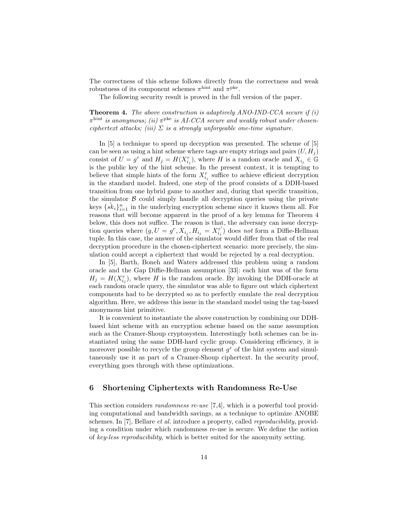The correctness of this scheme follows directly from the correctness and weak robustness of its component schemes  $\pi^{\text{hint}}$  and  $\pi^{\text{pke}}$ .

The following security result is proved in the full version of the paper.

**Theorem 4.** The above construction is adaptively ANO-IND-CCA secure if  $(i)$  $\pi^{\text{hint}}$  is anonymous; (ii)  $\pi^{\text{pke}}$  is AI-CCA secure and weakly robust under chosenciphertext attacks; (iii)  $\Sigma$  is a strongly unforgeable one-time signature.

In [5] a technique to speed up decryption was presented. The scheme of [5] can be seen as using a hint scheme where tags are empty strings and pairs  $(U, H_i)$ consist of  $U = g^r$  and  $H_j = H(X_{i_j}^r)$ , where H is a random oracle and  $X_{i_j} \in \mathbb{G}$ is the public key of the hint scheme. In the present context, it is tempting to believe that simple hints of the form  $X_{i_j}^r$  suffice to achieve efficient decryption in the standard model. Indeed, one step of the proof consists of a DDH-based transition from one hybrid game to another and, during that specific transition, the simulator  $\beta$  could simply handle all decryption queries using the private keys  $\{\tilde{sk}_i\}_{i=1}^n$  in the underlying encryption scheme since it knows them all. For reasons that will become apparent in the proof of a key lemma for Theorem 4 below, this does not suffice. The reason is that, the adversary can issue decryption queries where  $(g, U = g^r, X_{i_j}, H_{i_j} = X_{i_j}^{r'})$  does not form a Diffie-Hellman tuple. In this case, the answer of the simulator would differ from that of the real decryption procedure in the chosen-ciphertext scenario: more precisely, the simulation could accept a ciphertext that would be rejected by a real decryption.

In [5], Barth, Boneh and Waters addressed this problem using a random oracle and the Gap Diffie-Hellman assumption [33]: each hint was of the form  $H_j = H(X_{i_j}^r)$ , where H is the random oracle. By invoking the DDH-oracle at each random oracle query, the simulator was able to figure out which ciphertext components had to be decrypted so as to perfectly emulate the real decryption algorithm. Here, we address this issue in the standard model using the tag-based anonymous hint primitive.

It is convenient to instantiate the above construction by combining our DDHbased hint scheme with an encryption scheme based on the same assumption such as the Cramer-Shoup cryptosystem. Interestingly both schemes can be instantiated using the same DDH-hard cyclic group. Considering efficiency, it is moreover possible to recycle the group element  $g^r$  of the hint system and simultaneously use it as part of a Cramer-Shoup ciphertext. In the security proof, everything goes through with these optimizations.

# 6 Shortening Ciphertexts with Randomness Re-Use

This section considers randomness re-use [7,4], which is a powerful tool providing computational and bandwidth savings, as a technique to optimize ANOBE schemes. In [7], Bellare et al. introduce a property, called reproducibility, providing a condition under which randomness re-use is secure. We define the notion of key-less reproducibility, which is better suited for the anonymity setting.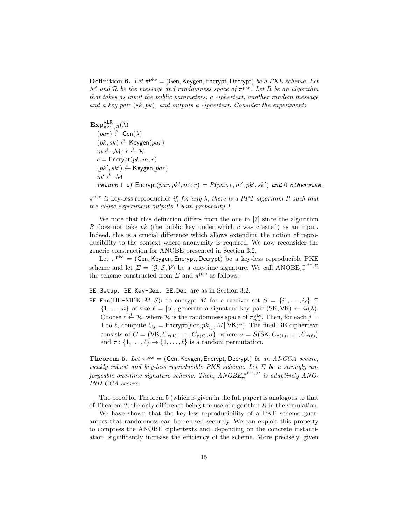**Definition 6.** Let  $\pi^{pke} =$  (Gen, Keygen, Encrypt, Decrypt) be a PKE scheme. Let M and R be the message and randomness space of  $\pi$ <sup>pke</sup>. Let R be an algorithm that takes as input the public parameters, a ciphertext, another random message and a key pair  $(s_k, pk)$ , and outputs a ciphertext. Consider the experiment:

 $\mathbf{Exp}_{\pi^\mathrm{pke},R}^{\mathsf{KLR}}(\lambda)$  $(par) \overset{\hspace{0.1em}\mathsf{\scriptscriptstyle\$}}{\leftarrow} \mathsf{Gen}(\lambda)$  $(pk, sk) \stackrel{\$}{\leftarrow}$  Keygen $(par)$  $m \stackrel{\hspace{0.1em}\mathsf{\scriptscriptstyle\$}}{\leftarrow} \mathcal{M};$   $r \stackrel{\hspace{0.1em}\mathsf{\scriptscriptstyle\$}}{\leftarrow} \mathcal{R}$  $c =$  Encrypt $(pk, m; r)$  $(pk', sk') \stackrel{\$}{\leftarrow}$  Keygen $(par)$  $m' \overset{\hspace{0.1em}\mathsf{\scriptscriptstyle\$}}{\leftarrow} \mathcal{M}$ return 1 if  $\textsf{Encrypt}(par, pk', m'; r) = R(par, c, m', pk', sk')$  and 0 otherwise.

 $\pi^{\text{pke}}$  is key-less reproducible if, for any  $\lambda$ , there is a PPT algorithm R such that the above experiment outputs 1 with probability 1.

We note that this definition differs from the one in [7] since the algorithm R does not take pk (the public key under which c was created) as an input. Indeed, this is a crucial difference which allows extending the notion of reproducibility to the context where anonymity is required. We now reconsider the generic construction for ANOBE presented in Section 3.2.

Let  $\pi^{\rm pke} =$  (Gen, Keygen, Encrypt, Decrypt) be a key-less reproducible PKE scheme and let  $\Sigma = (\mathcal{G}, \mathcal{S}, \mathcal{V})$  be a one-time signature. We call ANOBE  $_{rr}^{\pi^{\text{pke}}, \Sigma}$ the scheme constructed from  $\Sigma$  and  $\pi^{\text{pke}}$  as follows.

#### BE.Setup, BE.Key-Gen, BE.Dec are as in Section 3.2.

BE.Enc(BE-MPK, M, S): to encrypt M for a receiver set  $S = \{i_1, \ldots, i_\ell\} \subseteq$  $\{1, \ldots, n\}$  of size  $\ell = |S|$ , generate a signature key pair  $(SK, VK) \leftarrow \mathcal{G}(\lambda)$ . Choose  $r \stackrel{\$}{\leftarrow} \mathcal{R}$ , where  $\mathcal{R}$  is the randomness space of  $\pi_{par}^{\text{pke}}$ . Then, for each  $j =$ 1 to  $\ell$ , compute  $C_j =$  Encrypt $(par, pk_{i_j}, M||VK; r)$ . The final BE ciphertext consists of  $C = (\mathsf{VK}, C_{\tau(1)}, \ldots, C_{\tau(\ell)}, \sigma)$ , where  $\sigma = \mathcal{S}(\mathsf{SK}, C_{\tau(1)}, \ldots, C_{\tau(\ell)})$ and  $\tau : \{1, \ldots, \ell\} \to \{1, \ldots, \ell\}$  is a random permutation.

**Theorem 5.** Let  $\pi^{\text{pke}} = (\text{Gen}, \text{Keygen}, \text{Energy}, \text{Decrypt})$  be an AI-CCA secure, weakly robust and key-less reproducible PKE scheme. Let  $\Sigma$  be a strongly un- $\emph{forgeable one-time signature scheme. Then, ANOBE}_{rr}^{\pi^{\rm pke},\varSigma} \emph{ is adaptively ANO-}$ IND-CCA secure.

The proof for Theorem 5 (which is given in the full paper) is analogous to that of Theorem 2, the only difference being the use of algorithm  $R$  in the simulation.

We have shown that the key-less reproducibility of a PKE scheme guarantees that randomness can be re-used securely. We can exploit this property to compress the ANOBE ciphertexts and, depending on the concrete instantiation, significantly increase the efficiency of the scheme. More precisely, given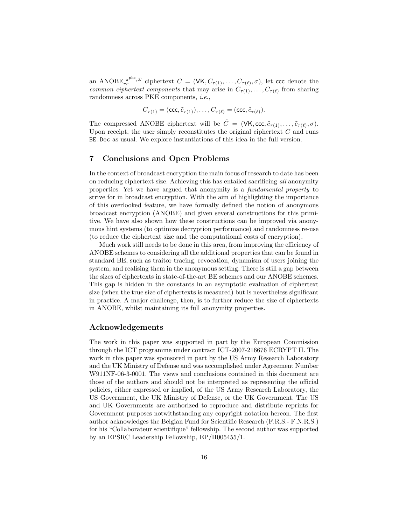an ANOBE $^{\pi^{\text{pke}}_r, \Sigma}_{rr}$  ciphertext  $C = (\forall K, C_{\tau(1)}, \ldots, C_{\tau(\ell)}, \sigma)$ , let ccc denote the common ciphertext components that may arise in  $C_{\tau(1)}, \ldots, C_{\tau(\ell)}$  from sharing randomness across PKE components, i.e.,

$$
C_{\tau(1)} = (\text{ccc}, \tilde{c}_{\tau(1)}), \dots, C_{\tau(\ell)} = (\text{ccc}, \tilde{c}_{\tau(\ell)}).
$$

The compressed ANOBE ciphertext will be  $\tilde{C} = (\mathsf{VK}, \mathsf{ccc}, \tilde{c}_{\tau(1)}, \ldots, \tilde{c}_{\tau(\ell)}, \sigma)$ . Upon receipt, the user simply reconstitutes the original ciphertext  $C$  and runs BE.Dec as usual. We explore instantiations of this idea in the full version.

## 7 Conclusions and Open Problems

In the context of broadcast encryption the main focus of research to date has been on reducing ciphertext size. Achieving this has entailed sacrificing all anonymity properties. Yet we have argued that anonymity is a fundamental property to strive for in broadcast encryption. With the aim of highlighting the importance of this overlooked feature, we have formally defined the notion of anonymous broadcast encryption (ANOBE) and given several constructions for this primitive. We have also shown how these constructions can be improved via anonymous hint systems (to optimize decryption performance) and randomness re-use (to reduce the ciphertext size and the computational costs of encryption).

Much work still needs to be done in this area, from improving the efficiency of ANOBE schemes to considering all the additional properties that can be found in standard BE, such as traitor tracing, revocation, dynamism of users joining the system, and realising them in the anonymous setting. There is still a gap between the sizes of ciphertexts in state-of-the-art BE schemes and our ANOBE schemes. This gap is hidden in the constants in an asymptotic evaluation of ciphertext size (when the true size of ciphertexts is measured) but is nevertheless significant in practice. A major challenge, then, is to further reduce the size of ciphertexts in ANOBE, whilst maintaining its full anonymity properties.

## Acknowledgements

The work in this paper was supported in part by the European Commission through the ICT programme under contract ICT-2007-216676 ECRYPT II. The work in this paper was sponsored in part by the US Army Research Laboratory and the UK Ministry of Defense and was accomplished under Agreement Number W911NF-06-3-0001. The views and conclusions contained in this document are those of the authors and should not be interpreted as representing the official policies, either expressed or implied, of the US Army Research Laboratory, the US Government, the UK Ministry of Defense, or the UK Government. The US and UK Governments are authorized to reproduce and distribute reprints for Government purposes notwithstanding any copyright notation hereon. The first author acknowledges the Belgian Fund for Scientific Research (F.R.S.- F.N.R.S.) for his "Collaborateur scientifique" fellowship. The second author was supported by an EPSRC Leadership Fellowship, EP/H005455/1.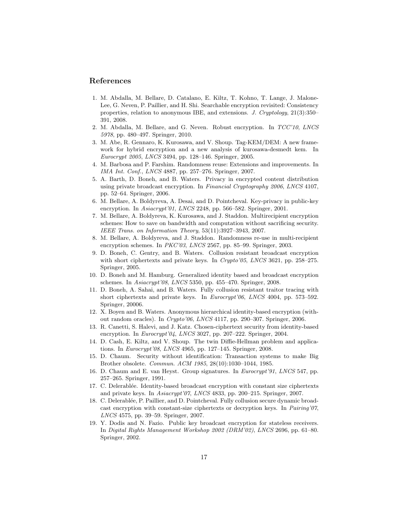## References

- 1. M. Abdalla, M. Bellare, D. Catalano, E. Kiltz, T. Kohno, T. Lange, J. Malone-Lee, G. Neven, P. Paillier, and H. Shi. Searchable encryption revisited: Consistency properties, relation to anonymous IBE, and extensions. J. Cryptology, 21(3):350– 391, 2008.
- 2. M. Abdalla, M. Bellare, and G. Neven. Robust encryption. In TCC'10, LNCS 5978, pp. 480–497. Springer, 2010.
- 3. M. Abe, R. Gennaro, K. Kurosawa, and V. Shoup. Tag-KEM/DEM: A new framework for hybrid encryption and a new analysis of kurosawa-desmedt kem. In Eurocrypt 2005, LNCS 3494, pp. 128–146. Springer, 2005.
- 4. M. Barbosa and P. Farshim. Randomness reuse: Extensions and improvements. In IMA Int. Conf., LNCS 4887, pp. 257–276. Springer, 2007.
- 5. A. Barth, D. Boneh, and B. Waters. Privacy in encrypted content distribution using private broadcast encryption. In Financial Cryptography 2006, LNCS 4107, pp. 52–64. Springer, 2006.
- 6. M. Bellare, A. Boldyreva, A. Desai, and D. Pointcheval. Key-privacy in public-key encryption. In Asiacrypt'01, LNCS 2248, pp. 566–582. Springer, 2001.
- 7. M. Bellare, A. Boldyreva, K. Kurosawa, and J. Staddon. Multirecipient encryption schemes: How to save on bandwidth and computation without sacrificing security. IEEE Trans. on Information Theory, 53(11):3927–3943, 2007.
- 8. M. Bellare, A. Boldyreva, and J. Staddon. Randomness re-use in multi-recipient encryption schemes. In PKC'03, LNCS 2567, pp. 85–99. Springer, 2003.
- 9. D. Boneh, C. Gentry, and B. Waters. Collusion resistant broadcast encryption with short ciphertexts and private keys. In Crypto'05, LNCS 3621, pp. 258–275. Springer, 2005.
- 10. D. Boneh and M. Hamburg. Generalized identity based and broadcast encryption schemes. In Asiacrypt'08, LNCS 5350, pp. 455–470. Springer, 2008.
- 11. D. Boneh, A. Sahai, and B. Waters. Fully collusion resistant traitor tracing with short ciphertexts and private keys. In Eurocrypt'06, LNCS 4004, pp. 573–592. Springer, 20006.
- 12. X. Boyen and B. Waters. Anonymous hierarchical identity-based encryption (without random oracles). In Crypto'06, LNCS 4117, pp. 290–307. Springer, 2006.
- 13. R. Canetti, S. Halevi, and J. Katz. Chosen-ciphertext security from identity-based encryption. In  $Europeani'04$ ,  $LNCS$  3027, pp. 207–222. Springer, 2004.
- 14. D. Cash, E. Kiltz, and V. Shoup. The twin Diffie-Hellman problem and applications. In Eurocrypt'08, LNCS 4965, pp. 127–145. Springer, 2008.
- 15. D. Chaum. Security without identification: Transaction systems to make Big Brother obsolete. Commun. ACM 1985, 28(10):1030–1044, 1985.
- 16. D. Chaum and E. van Heyst. Group signatures. In Eurocrypt'91, LNCS 547, pp. 257–265. Springer, 1991.
- 17. C. Delerablée. Identity-based broadcast encryption with constant size ciphertexts and private keys. In Asiacrypt'07, LNCS 4833, pp. 200–215. Springer, 2007.
- 18. C. Delerabl´ee, P. Paillier, and D. Pointcheval. Fully collusion secure dynamic broadcast encryption with constant-size ciphertexts or decryption keys. In Pairing'07, LNCS 4575, pp. 39–59. Springer, 2007.
- 19. Y. Dodis and N. Fazio. Public key broadcast encryption for stateless receivers. In Digital Rights Management Workshop 2002 (DRM'02), LNCS 2696, pp. 61–80. Springer, 2002.